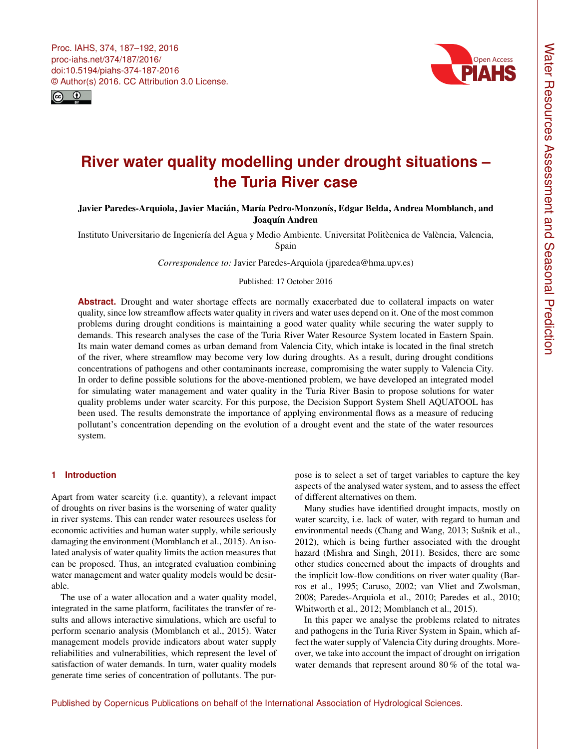<span id="page-0-0"></span>Proc. IAHS, 374, 187–192, 2016 proc-iahs.net/374/187/2016/ doi:10.5194/piahs-374-187-2016 © Author(s) 2016. CC Attribution 3.0 License.





# **River water quality modelling under drought situations – the Turia River case**

## Javier Paredes-Arquiola, Javier Macián, María Pedro-Monzonís, Edgar Belda, Andrea Momblanch, and Joaquín Andreu

Instituto Universitario de Ingeniería del Agua y Medio Ambiente. Universitat Politècnica de València, Valencia, Spain

*Correspondence to:* Javier Paredes-Arquiola (jparedea@hma.upv.es)

## Published: 17 October 2016

**Abstract.** Drought and water shortage effects are normally exacerbated due to collateral impacts on water quality, since low streamflow affects water quality in rivers and water uses depend on it. One of the most common problems during drought conditions is maintaining a good water quality while securing the water supply to demands. This research analyses the case of the Turia River Water Resource System located in Eastern Spain. Its main water demand comes as urban demand from Valencia City, which intake is located in the final stretch of the river, where streamflow may become very low during droughts. As a result, during drought conditions concentrations of pathogens and other contaminants increase, compromising the water supply to Valencia City. In order to define possible solutions for the above-mentioned problem, we have developed an integrated model for simulating water management and water quality in the Turia River Basin to propose solutions for water quality problems under water scarcity. For this purpose, the Decision Support System Shell AQUATOOL has been used. The results demonstrate the importance of applying environmental flows as a measure of reducing pollutant's concentration depending on the evolution of a drought event and the state of the water resources system.

## **1 Introduction**

Apart from water scarcity (i.e. quantity), a relevant impact of droughts on river basins is the worsening of water quality in river systems. This can render water resources useless for economic activities and human water supply, while seriously damaging the environment (Momblanch et al., 2015). An isolated analysis of water quality limits the action measures that can be proposed. Thus, an integrated evaluation combining water management and water quality models would be desirable.

The use of a water allocation and a water quality model, integrated in the same platform, facilitates the transfer of results and allows interactive simulations, which are useful to perform scenario analysis (Momblanch et al., 2015). Water management models provide indicators about water supply reliabilities and vulnerabilities, which represent the level of satisfaction of water demands. In turn, water quality models generate time series of concentration of pollutants. The purpose is to select a set of target variables to capture the key aspects of the analysed water system, and to assess the effect of different alternatives on them.

Many studies have identified drought impacts, mostly on water scarcity, i.e. lack of water, with regard to human and environmental needs (Chang and Wang, 2013; Sušnik et al., 2012), which is being further associated with the drought hazard (Mishra and Singh, 2011). Besides, there are some other studies concerned about the impacts of droughts and the implicit low-flow conditions on river water quality (Barros et al., 1995; Caruso, 2002; van Vliet and Zwolsman, 2008; Paredes-Arquiola et al., 2010; Paredes et al., 2010; Whitworth et al., 2012; Momblanch et al., 2015).

In this paper we analyse the problems related to nitrates and pathogens in the Turia River System in Spain, which affect the water supply of Valencia City during droughts. Moreover, we take into account the impact of drought on irrigation water demands that represent around 80 % of the total wa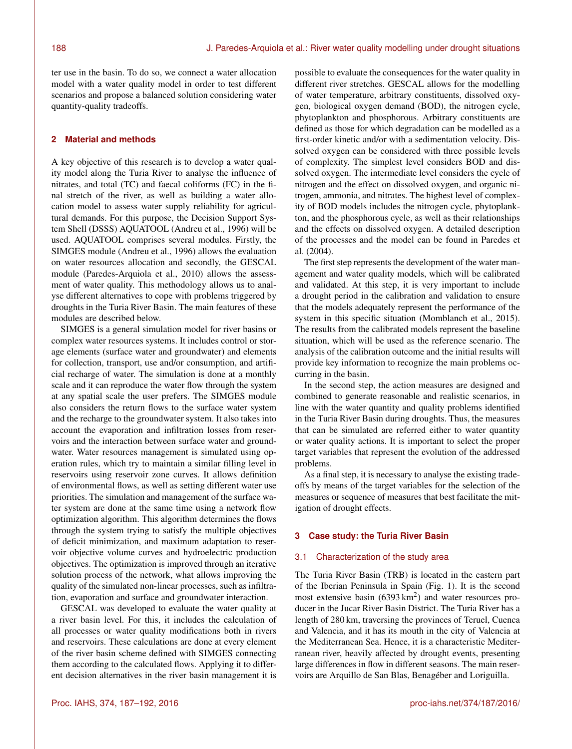ter use in the basin. To do so, we connect a water allocation model with a water quality model in order to test different scenarios and propose a balanced solution considering water quantity-quality tradeoffs.

## **2 Material and methods**

A key objective of this research is to develop a water quality model along the Turia River to analyse the influence of nitrates, and total (TC) and faecal coliforms (FC) in the final stretch of the river, as well as building a water allocation model to assess water supply reliability for agricultural demands. For this purpose, the Decision Support System Shell (DSSS) AQUATOOL (Andreu et al., 1996) will be used. AQUATOOL comprises several modules. Firstly, the SIMGES module (Andreu et al., 1996) allows the evaluation on water resources allocation and secondly, the GESCAL module (Paredes-Arquiola et al., 2010) allows the assessment of water quality. This methodology allows us to analyse different alternatives to cope with problems triggered by droughts in the Turia River Basin. The main features of these modules are described below.

SIMGES is a general simulation model for river basins or complex water resources systems. It includes control or storage elements (surface water and groundwater) and elements for collection, transport, use and/or consumption, and artificial recharge of water. The simulation is done at a monthly scale and it can reproduce the water flow through the system at any spatial scale the user prefers. The SIMGES module also considers the return flows to the surface water system and the recharge to the groundwater system. It also takes into account the evaporation and infiltration losses from reservoirs and the interaction between surface water and groundwater. Water resources management is simulated using operation rules, which try to maintain a similar filling level in reservoirs using reservoir zone curves. It allows definition of environmental flows, as well as setting different water use priorities. The simulation and management of the surface water system are done at the same time using a network flow optimization algorithm. This algorithm determines the flows through the system trying to satisfy the multiple objectives of deficit minimization, and maximum adaptation to reservoir objective volume curves and hydroelectric production objectives. The optimization is improved through an iterative solution process of the network, what allows improving the quality of the simulated non-linear processes, such as infiltration, evaporation and surface and groundwater interaction.

GESCAL was developed to evaluate the water quality at a river basin level. For this, it includes the calculation of all processes or water quality modifications both in rivers and reservoirs. These calculations are done at every element of the river basin scheme defined with SIMGES connecting them according to the calculated flows. Applying it to different decision alternatives in the river basin management it is

possible to evaluate the consequences for the water quality in different river stretches. GESCAL allows for the modelling of water temperature, arbitrary constituents, dissolved oxygen, biological oxygen demand (BOD), the nitrogen cycle, phytoplankton and phosphorous. Arbitrary constituents are defined as those for which degradation can be modelled as a first-order kinetic and/or with a sedimentation velocity. Dissolved oxygen can be considered with three possible levels of complexity. The simplest level considers BOD and dissolved oxygen. The intermediate level considers the cycle of nitrogen and the effect on dissolved oxygen, and organic nitrogen, ammonia, and nitrates. The highest level of complexity of BOD models includes the nitrogen cycle, phytoplankton, and the phosphorous cycle, as well as their relationships and the effects on dissolved oxygen. A detailed description of the processes and the model can be found in Paredes et al. (2004).

The first step represents the development of the water management and water quality models, which will be calibrated and validated. At this step, it is very important to include a drought period in the calibration and validation to ensure that the models adequately represent the performance of the system in this specific situation (Momblanch et al., 2015). The results from the calibrated models represent the baseline situation, which will be used as the reference scenario. The analysis of the calibration outcome and the initial results will provide key information to recognize the main problems occurring in the basin.

In the second step, the action measures are designed and combined to generate reasonable and realistic scenarios, in line with the water quantity and quality problems identified in the Turia River Basin during droughts. Thus, the measures that can be simulated are referred either to water quantity or water quality actions. It is important to select the proper target variables that represent the evolution of the addressed problems.

As a final step, it is necessary to analyse the existing tradeoffs by means of the target variables for the selection of the measures or sequence of measures that best facilitate the mitigation of drought effects.

#### **3 Case study: the Turia River Basin**

#### 3.1 Characterization of the study area

The Turia River Basin (TRB) is located in the eastern part of the Iberian Peninsula in Spain (Fig. 1). It is the second most extensive basin  $(6393 \text{ km}^2)$  and water resources producer in the Jucar River Basin District. The Turia River has a length of 280 km, traversing the provinces of Teruel, Cuenca and Valencia, and it has its mouth in the city of Valencia at the Mediterranean Sea. Hence, it is a characteristic Mediterranean river, heavily affected by drought events, presenting large differences in flow in different seasons. The main reservoirs are Arquillo de San Blas, Benagéber and Loriguilla.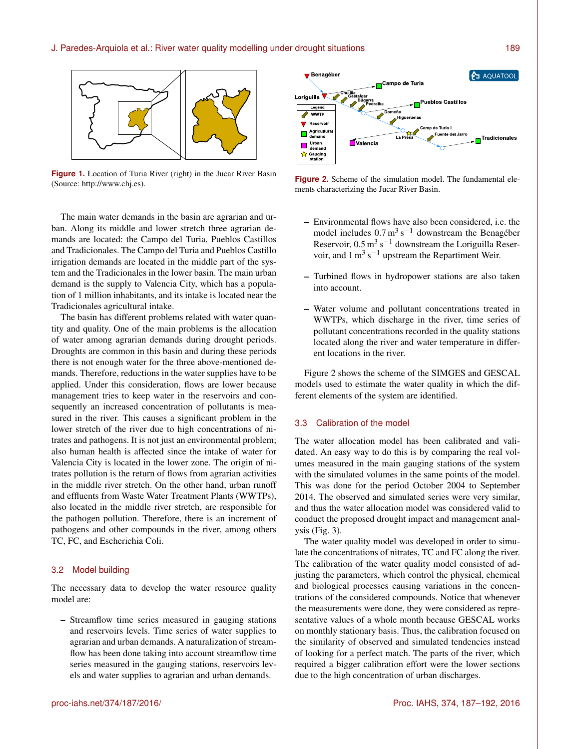

**Figure 1.** Location of Turia River (right) in the Jucar River Basin (Source: [http://www.chj.es\)](http://www.chj.es).

The main water demands in the basin are agrarian and urban. Along its middle and lower stretch three agrarian demands are located: the Campo del Turia, Pueblos Castillos and Tradicionales. The Campo del Turia and Pueblos Castillo irrigation demands are located in the middle part of the system and the Tradicionales in the lower basin. The main urban demand is the supply to Valencia City, which has a population of 1 million inhabitants, and its intake is located near the Tradicionales agricultural intake.

The basin has different problems related with water quantity and quality. One of the main problems is the allocation of water among agrarian demands during drought periods. Droughts are common in this basin and during these periods there is not enough water for the three above-mentioned demands. Therefore, reductions in the water supplies have to be applied. Under this consideration, flows are lower because management tries to keep water in the reservoirs and consequently an increased concentration of pollutants is measured in the river. This causes a significant problem in the lower stretch of the river due to high concentrations of nitrates and pathogens. It is not just an environmental problem; also human health is affected since the intake of water for Valencia City is located in the lower zone. The origin of nitrates pollution is the return of flows from agrarian activities in the middle river stretch. On the other hand, urban runoff and effluents from Waste Water Treatment Plants (WWTPs), also located in the middle river stretch, are responsible for the pathogen pollution. Therefore, there is an increment of pathogens and other compounds in the river, among others TC, FC, and Escherichia Coli.

## 3.2 Model building

The necessary data to develop the water resource quality model are:

– Streamflow time series measured in gauging stations and reservoirs levels. Time series of water supplies to agrarian and urban demands. A naturalization of streamflow has been done taking into account streamflow time series measured in the gauging stations, reservoirs levels and water supplies to agrarian and urban demands.



**Figure 2.** Scheme of the simulation model. The fundamental elements characterizing the Jucar River Basin.

- Environmental flows have also been considered, i.e. the model includes  $0.7 \text{ m}^3 \text{ s}^{-1}$  downstream the Benagéber Reservoir,  $0.5 \text{ m}^3 \text{ s}^{-1}$  downstream the Loriguilla Reservoir, and  $1 \text{ m}^3 \text{ s}^{-1}$  upstream the Repartiment Weir.
- Turbined flows in hydropower stations are also taken into account.
- Water volume and pollutant concentrations treated in WWTPs, which discharge in the river, time series of pollutant concentrations recorded in the quality stations located along the river and water temperature in different locations in the river.

Figure 2 shows the scheme of the SIMGES and GESCAL models used to estimate the water quality in which the different elements of the system are identified.

#### 3.3 Calibration of the model

The water allocation model has been calibrated and validated. An easy way to do this is by comparing the real volumes measured in the main gauging stations of the system with the simulated volumes in the same points of the model. This was done for the period October 2004 to September 2014. The observed and simulated series were very similar, and thus the water allocation model was considered valid to conduct the proposed drought impact and management analysis (Fig. 3).

The water quality model was developed in order to simulate the concentrations of nitrates, TC and FC along the river. The calibration of the water quality model consisted of adjusting the parameters, which control the physical, chemical and biological processes causing variations in the concentrations of the considered compounds. Notice that whenever the measurements were done, they were considered as representative values of a whole month because GESCAL works on monthly stationary basis. Thus, the calibration focused on the similarity of observed and simulated tendencies instead of looking for a perfect match. The parts of the river, which required a bigger calibration effort were the lower sections due to the high concentration of urban discharges.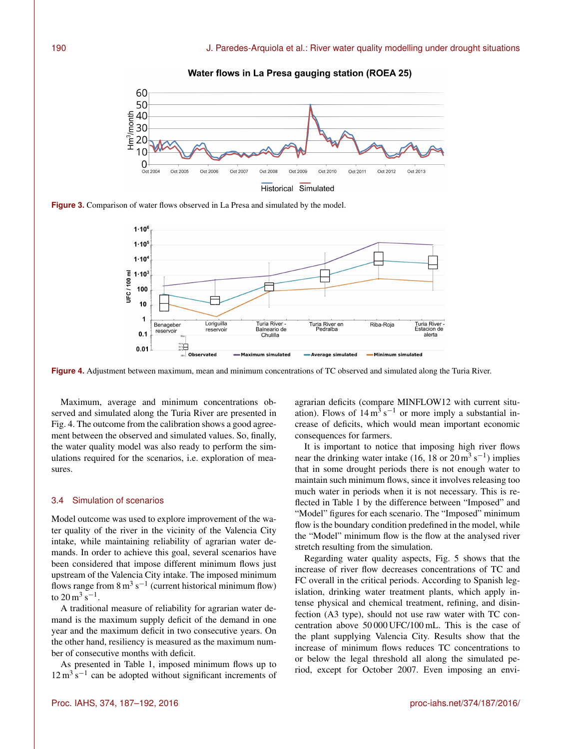

Water flows in La Presa gauging station (ROEA 25)

**Figure 3.** Comparison of water flows observed in La Presa and simulated by the model.



**Figure 4.** Adjustment between maximum, mean and minimum concentrations of TC observed and simulated along the Turia River.

Maximum, average and minimum concentrations observed and simulated along the Turia River are presented in Fig. 4. The outcome from the calibration shows a good agreement between the observed and simulated values. So, finally, the water quality model was also ready to perform the simulations required for the scenarios, i.e. exploration of measures.

#### 3.4 Simulation of scenarios

Model outcome was used to explore improvement of the water quality of the river in the vicinity of the Valencia City intake, while maintaining reliability of agrarian water demands. In order to achieve this goal, several scenarios have been considered that impose different minimum flows just upstream of the Valencia City intake. The imposed minimum flows range from  $8 \text{ m}^3 \text{ s}^{-1}$  (current historical minimum flow) to  $20 \,\mathrm{m^3\,s^{-1}}$ .

A traditional measure of reliability for agrarian water demand is the maximum supply deficit of the demand in one year and the maximum deficit in two consecutive years. On the other hand, resiliency is measured as the maximum number of consecutive months with deficit.

As presented in Table 1, imposed minimum flows up to  $12 \text{ m}^3 \text{ s}^{-1}$  can be adopted without significant increments of

agrarian deficits (compare MINFLOW12 with current situation). Flows of  $14 \text{ m}^3 \text{ s}^{-1}$  or more imply a substantial increase of deficits, which would mean important economic consequences for farmers.

It is important to notice that imposing high river flows near the drinking water intake (16, 18 or  $20 \text{ m}^3 \text{ s}^{-1}$ ) implies that in some drought periods there is not enough water to maintain such minimum flows, since it involves releasing too much water in periods when it is not necessary. This is reflected in Table 1 by the difference between "Imposed" and "Model" figures for each scenario. The "Imposed" minimum flow is the boundary condition predefined in the model, while the "Model" minimum flow is the flow at the analysed river stretch resulting from the simulation.

Regarding water quality aspects, Fig. 5 shows that the increase of river flow decreases concentrations of TC and FC overall in the critical periods. According to Spanish legislation, drinking water treatment plants, which apply intense physical and chemical treatment, refining, and disinfection (A3 type), should not use raw water with TC concentration above 50 000 UFC/100 mL. This is the case of the plant supplying Valencia City. Results show that the increase of minimum flows reduces TC concentrations to or below the legal threshold all along the simulated period, except for October 2007. Even imposing an envi-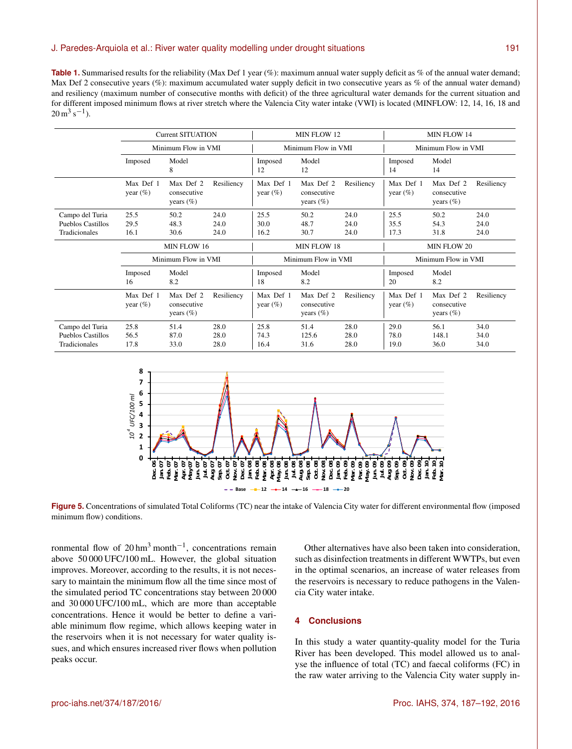#### J. Paredes-Arquiola et al.: River water quality modelling under drought situations 191

**Table 1.** Summarised results for the reliability (Max Def 1 year (%): maximum annual water supply deficit as % of the annual water demand; Max Def 2 consecutive years (%): maximum accumulated water supply deficit in two consecutive years as % of the annual water demand) and resiliency (maximum number of consecutive months with deficit) of the three agricultural water demands for the current situation and for different imposed minimum flows at river stretch where the Valencia City water intake (VWI) is located (MINFLOW: 12, 14, 16, 18 and  $20 \,\mathrm{m^3\,s^{-1}}$ ).

|                          | <b>Current SITUATION</b><br>Minimum Flow in VMI |                                           |            | MIN FLOW 12<br>Minimum Flow in VMI |                                          |            | MIN FLOW 14<br>Minimum Flow in VMI |                                           |            |
|--------------------------|-------------------------------------------------|-------------------------------------------|------------|------------------------------------|------------------------------------------|------------|------------------------------------|-------------------------------------------|------------|
|                          |                                                 |                                           |            |                                    |                                          |            |                                    |                                           |            |
|                          | Imposed                                         | Model<br>8                                |            | Imposed<br>12                      | Model<br>12                              |            | Imposed<br>14                      | Model<br>14                               |            |
|                          | Max Def 1<br>year $(\%)$                        | Max Def 2<br>consecutive<br>years $(\% )$ | Resiliency | Max Def 1<br>year $(\%)$           | Max Def 2<br>consecutive<br>years $(\%)$ | Resiliency | Max Def 1<br>year $(\%)$           | Max Def 2<br>consecutive<br>years $(\% )$ | Resiliency |
| Campo del Turia          | 25.5                                            | 50.2                                      | 24.0       | 25.5                               | 50.2                                     | 24.0       | 25.5                               | 50.2                                      | 24.0       |
| <b>Pueblos Castillos</b> | 29.5                                            | 48.3                                      | 24.0       | 30.0                               | 48.7                                     | 24.0       | 35.5                               | 54.3                                      | 24.0       |
| <b>Tradicionales</b>     | 16.1                                            | 30.6                                      | 24.0       | 16.2                               | 30.7                                     | 24.0       | 17.3                               | 31.8                                      | 24.0       |
|                          |                                                 |                                           |            |                                    |                                          |            |                                    |                                           |            |
|                          |                                                 | MIN FLOW 16                               |            |                                    | MIN FLOW 18                              |            |                                    | MIN FLOW 20                               |            |
|                          |                                                 | Minimum Flow in VMI                       |            |                                    | Minimum Flow in VMI                      |            |                                    | Minimum Flow in VMI                       |            |
|                          | Imposed<br>16                                   | Model<br>8.2                              |            | Imposed<br>18                      | Model<br>8.2                             |            | Imposed<br>20                      | Model<br>8.2                              |            |
|                          | Max Def 1<br>year $(\%)$                        | Max Def 2<br>consecutive<br>years $(\%)$  | Resiliency | Max Def 1<br>year $(\%)$           | Max Def 2<br>consecutive<br>years $(\%)$ | Resiliency | Max Def 1<br>year $(\%)$           | Max Def 2<br>consecutive<br>years $(\%)$  | Resiliency |
| Campo del Turia          | 25.8                                            | 51.4                                      | 28.0       | 25.8                               | 51.4                                     | 28.0       | 29.0                               | 56.1                                      | 34.0       |
| <b>Pueblos Castillos</b> | 56.5                                            | 87.0                                      | 28.0       | 74.3                               | 125.6                                    | 28.0       | 78.0                               | 148.1                                     | 34.0       |



**Figure 5.** Concentrations of simulated Total Coliforms (TC) near the intake of Valencia City water for different environmental flow (imposed minimum flow) conditions.

ronmental flow of  $20 \text{ hm}^3$  month<sup>-1</sup>, concentrations remain above 50 000 UFC/100 mL. However, the global situation improves. Moreover, according to the results, it is not necessary to maintain the minimum flow all the time since most of the simulated period TC concentrations stay between 20 000 and 30 000 UFC/100 mL, which are more than acceptable concentrations. Hence it would be better to define a variable minimum flow regime, which allows keeping water in the reservoirs when it is not necessary for water quality issues, and which ensures increased river flows when pollution peaks occur.

Other alternatives have also been taken into consideration, such as disinfection treatments in different WWTPs, but even in the optimal scenarios, an increase of water releases from the reservoirs is necessary to reduce pathogens in the Valencia City water intake.

## **4 Conclusions**

In this study a water quantity-quality model for the Turia River has been developed. This model allowed us to analyse the influence of total (TC) and faecal coliforms (FC) in the raw water arriving to the Valencia City water supply in